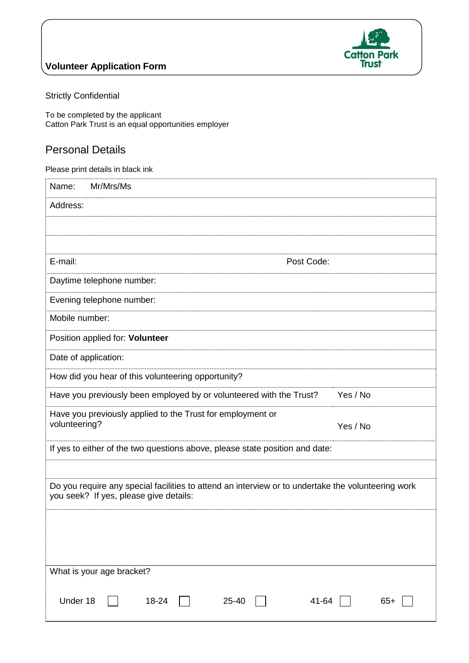

### **Volunteer Application Form**

Strictly Confidential

To be completed by the applicant Catton Park Trust is an equal opportunities employer

## Personal Details

| Please print details in black ink                                                                                                            |  |  |  |  |
|----------------------------------------------------------------------------------------------------------------------------------------------|--|--|--|--|
| Name:<br>Mr/Mrs/Ms                                                                                                                           |  |  |  |  |
| Address:                                                                                                                                     |  |  |  |  |
|                                                                                                                                              |  |  |  |  |
|                                                                                                                                              |  |  |  |  |
| E-mail:<br>Post Code:                                                                                                                        |  |  |  |  |
| Daytime telephone number:                                                                                                                    |  |  |  |  |
| Evening telephone number:                                                                                                                    |  |  |  |  |
| Mobile number:                                                                                                                               |  |  |  |  |
| Position applied for: Volunteer                                                                                                              |  |  |  |  |
| Date of application:                                                                                                                         |  |  |  |  |
| How did you hear of this volunteering opportunity?                                                                                           |  |  |  |  |
| Yes / No<br>Have you previously been employed by or volunteered with the Trust?                                                              |  |  |  |  |
| Have you previously applied to the Trust for employment or<br>volunteering?                                                                  |  |  |  |  |
| Yes / No                                                                                                                                     |  |  |  |  |
| If yes to either of the two questions above, please state position and date:                                                                 |  |  |  |  |
|                                                                                                                                              |  |  |  |  |
| Do you require any special facilities to attend an interview or to undertake the volunteering work<br>you seek? If yes, please give details: |  |  |  |  |
|                                                                                                                                              |  |  |  |  |
|                                                                                                                                              |  |  |  |  |
|                                                                                                                                              |  |  |  |  |
| What is your age bracket?                                                                                                                    |  |  |  |  |
| Under 18<br>41-64<br>18-24<br>25-40<br>$65+$                                                                                                 |  |  |  |  |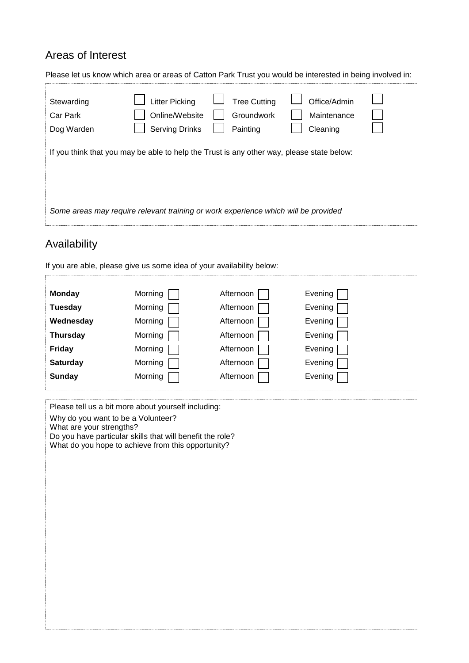## Areas of Interest

| Please let us know which area or areas of Catton Park Trust you would be interested in being involved in: |                                                                                                                                                               |                                               |                                         |  |  |  |
|-----------------------------------------------------------------------------------------------------------|---------------------------------------------------------------------------------------------------------------------------------------------------------------|-----------------------------------------------|-----------------------------------------|--|--|--|
| Stewarding<br>Car Park<br>Dog Warden                                                                      | <b>Litter Picking</b><br>Online/Website<br><b>Serving Drinks</b><br>If you think that you may be able to help the Trust is any other way, please state below: | <b>Tree Cutting</b><br>Groundwork<br>Painting | Office/Admin<br>Maintenance<br>Cleaning |  |  |  |
| Some areas may require relevant training or work experience which will be provided                        |                                                                                                                                                               |                                               |                                         |  |  |  |

# Availability

If you are able, please give us some idea of your availability below:

| <b>Monday</b>   | Morning | Afternoon | Evening |
|-----------------|---------|-----------|---------|
| <b>Tuesday</b>  | Morning | Afternoon | Evening |
| Wednesday       | Morning | Afternoon | Evening |
| <b>Thursday</b> | Morning | Afternoon | Evening |
| <b>Friday</b>   | Morning | Afternoon | Evening |
| <b>Saturday</b> | Morning | Afternoon | Evening |
| <b>Sunday</b>   | Morning | Afternoon | Evening |
|                 |         |           |         |

Please tell us a bit more about yourself including:

Why do you want to be a Volunteer?

What are your strengths?

Do you have particular skills that will benefit the role? What do you hope to achieve from this opportunity?